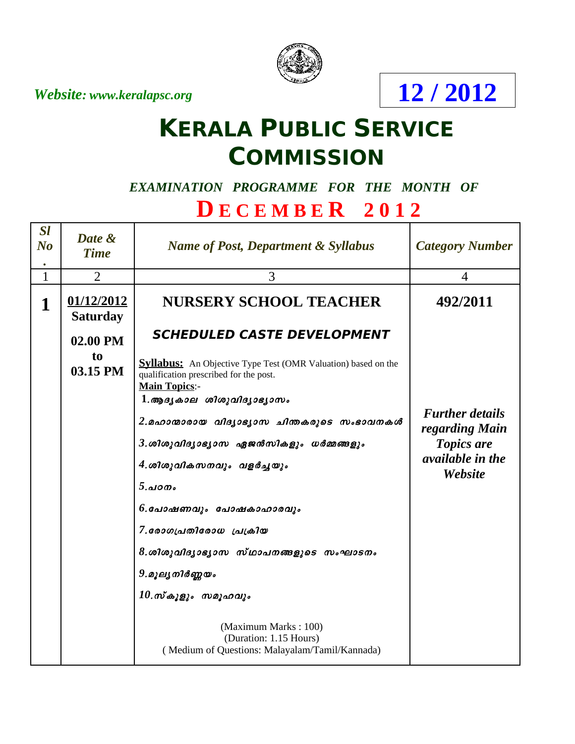*Website: www.keralapsc.org*



**12 / 2012**

# **KERALA PUBLIC SERVICE COMMISSION**

#### *EXAMINATION PROGRAMME FOR THE MONTH OF*

## **D E C E M B E R 2 0 1 2**

| <b>Sl</b><br>$\bf{N}$ o<br>$\bullet$ | Date &<br><b>Time</b>         | <b>Name of Post, Department &amp; Syllabus</b>                                                                                                                                                                 | <b>Category Number</b>                                                                              |
|--------------------------------------|-------------------------------|----------------------------------------------------------------------------------------------------------------------------------------------------------------------------------------------------------------|-----------------------------------------------------------------------------------------------------|
| $\mathbf{1}$                         | $\overline{2}$                | 3                                                                                                                                                                                                              | $\overline{4}$                                                                                      |
| 1                                    | 01/12/2012<br><b>Saturday</b> | <b>NURSERY SCHOOL TEACHER</b>                                                                                                                                                                                  | 492/2011                                                                                            |
|                                      | 02.00 PM                      | <b>SCHEDULED CASTE DEVELOPMENT</b>                                                                                                                                                                             |                                                                                                     |
|                                      | to<br>03.15 PM                | <b>Syllabus:</b> An Objective Type Test (OMR Valuation) based on the<br>qualification prescribed for the post.<br><b>Main Topics:-</b>                                                                         |                                                                                                     |
|                                      |                               | $1.$ ആദൃകാല ശിശുവിദൃാഭൃാസം<br>2.മഹാന്മാരായ വിദ്യാഭൃാസ ചിന്തകരുടെ സംഭാവനകൾ<br>$3.$ ശിശുവിദൃാഭൃാസ ഏജൻസികളും ധർമ്മങ്ങളും<br>4. ശിശുവികസനവും വളർച്ചയും<br>5.000<br>6.പോഷണവും പോഷകാഹാരവും<br>7.லോഗപ്രതിരോധ പ്രക്രിയ | <b>Further details</b><br>regarding Main<br><b>Topics are</b><br><i>available in the</i><br>Website |
|                                      |                               | $8.$ ശിശുവിദൃാഭൃാസ സ്ഥാപനങ്ങളുടെ സംഘാടനം<br>9.മൂലൃനിർണ്ണയം<br>$10.\text{m}$ കൂളും സമൂഹവും<br>(Maximum Marks: 100)<br>(Duration: 1.15 Hours)<br>(Medium of Questions: Malayalam/Tamil/Kannada)                  |                                                                                                     |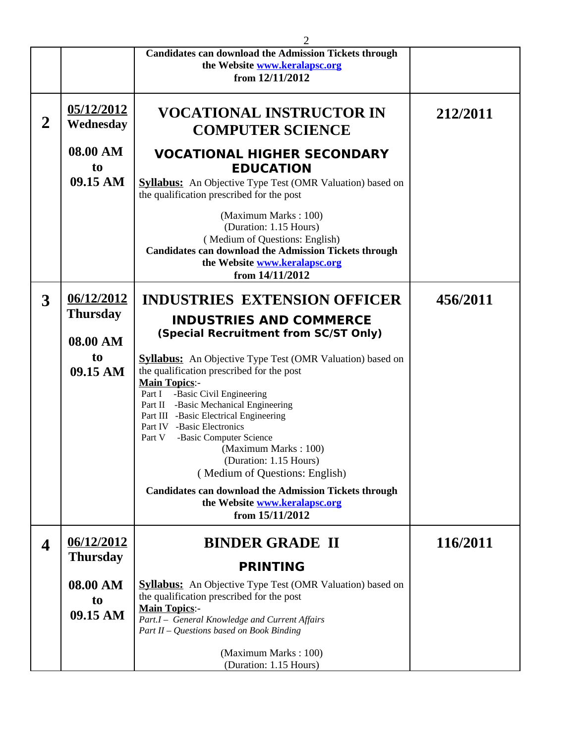|                |                                        | 2                                                                                                                                                                                                    |          |
|----------------|----------------------------------------|------------------------------------------------------------------------------------------------------------------------------------------------------------------------------------------------------|----------|
|                |                                        | <b>Candidates can download the Admission Tickets through</b>                                                                                                                                         |          |
|                |                                        | the Website www.keralapsc.org                                                                                                                                                                        |          |
|                |                                        | from 12/11/2012                                                                                                                                                                                      |          |
| $\overline{2}$ | 05/12/2012<br>Wednesday                | VOCATIONAL INSTRUCTOR IN<br><b>COMPUTER SCIENCE</b>                                                                                                                                                  | 212/2011 |
|                | 08.00 AM<br>t <sub>0</sub><br>09.15 AM | <b>VOCATIONAL HIGHER SECONDARY</b><br><b>EDUCATION</b><br><b>Syllabus:</b> An Objective Type Test (OMR Valuation) based on<br>the qualification prescribed for the post                              |          |
|                |                                        | (Maximum Marks: 100)<br>(Duration: 1.15 Hours)<br>(Medium of Questions: English)<br><b>Candidates can download the Admission Tickets through</b><br>the Website www.keralapsc.org<br>from 14/11/2012 |          |
| 3              | 06/12/2012                             | <b>INDUSTRIES EXTENSION OFFICER</b>                                                                                                                                                                  | 456/2011 |
|                | Thursday                               |                                                                                                                                                                                                      |          |
|                |                                        | <b>INDUSTRIES AND COMMERCE</b>                                                                                                                                                                       |          |
|                | 08.00 AM                               | (Special Recruitment from SC/ST Only)                                                                                                                                                                |          |
|                | to                                     | <b>Syllabus:</b> An Objective Type Test (OMR Valuation) based on                                                                                                                                     |          |
|                | 09.15 AM                               | the qualification prescribed for the post                                                                                                                                                            |          |
|                |                                        | <b>Main Topics:-</b>                                                                                                                                                                                 |          |
|                |                                        | -Basic Civil Engineering<br>Part I                                                                                                                                                                   |          |
|                |                                        | Part II -Basic Mechanical Engineering                                                                                                                                                                |          |
|                |                                        | Part III -Basic Electrical Engineering<br>Part IV -Basic Electronics                                                                                                                                 |          |
|                |                                        | -Basic Computer Science<br>Part V                                                                                                                                                                    |          |
|                |                                        | (Maximum Marks: 100)                                                                                                                                                                                 |          |
|                |                                        | (Duration: 1.15 Hours)                                                                                                                                                                               |          |
|                |                                        | (Medium of Questions: English)                                                                                                                                                                       |          |
|                |                                        | <b>Candidates can download the Admission Tickets through</b><br>the Website www.keralapsc.org<br>from 15/11/2012                                                                                     |          |
| 4              | 06/12/2012                             | <b>BINDER GRADE II</b>                                                                                                                                                                               | 116/2011 |
|                | <b>Thursday</b>                        | <b>PRINTING</b>                                                                                                                                                                                      |          |
|                | 08.00 AM                               | <b>Syllabus:</b> An Objective Type Test (OMR Valuation) based on                                                                                                                                     |          |
|                | t <sub>0</sub>                         | the qualification prescribed for the post                                                                                                                                                            |          |
|                | 09.15 AM                               | <b>Main Topics:-</b>                                                                                                                                                                                 |          |
|                |                                        | Part.I - General Knowledge and Current Affairs<br>Part II - Questions based on Book Binding                                                                                                          |          |
|                |                                        |                                                                                                                                                                                                      |          |
|                |                                        | (Maximum Marks: 100)                                                                                                                                                                                 |          |
|                |                                        | (Duration: 1.15 Hours)                                                                                                                                                                               |          |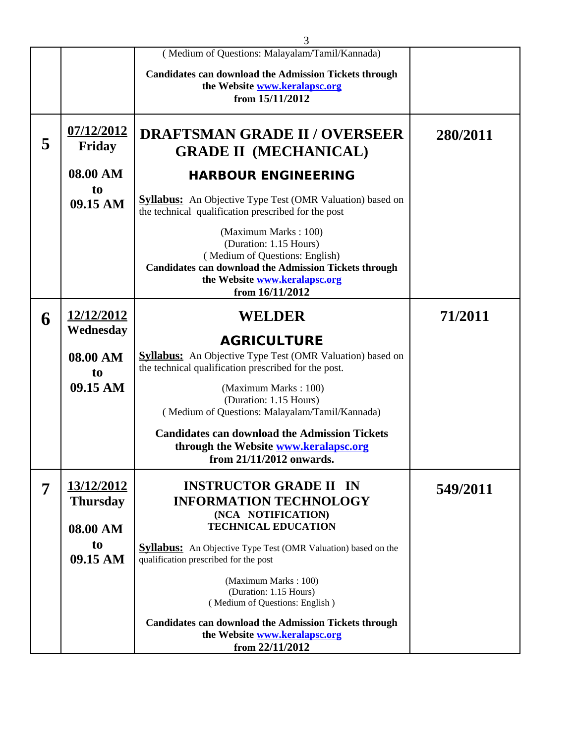|   |                                         | 3                                                                                                                                                                                                    |          |
|---|-----------------------------------------|------------------------------------------------------------------------------------------------------------------------------------------------------------------------------------------------------|----------|
|   |                                         | (Medium of Questions: Malayalam/Tamil/Kannada)                                                                                                                                                       |          |
|   |                                         | <b>Candidates can download the Admission Tickets through</b><br>the Website www.keralapsc.org<br>from 15/11/2012                                                                                     |          |
| 5 | 07/12/2012<br><b>Friday</b>             | <b>DRAFTSMAN GRADE II / OVERSEER</b><br><b>GRADE II (MECHANICAL)</b>                                                                                                                                 | 280/2011 |
|   | 08.00 AM                                | <b>HARBOUR ENGINEERING</b>                                                                                                                                                                           |          |
|   | t <sub>0</sub><br>09.15 AM              | <b>Syllabus:</b> An Objective Type Test (OMR Valuation) based on<br>the technical qualification prescribed for the post                                                                              |          |
|   |                                         | (Maximum Marks: 100)<br>(Duration: 1.15 Hours)<br>(Medium of Questions: English)<br><b>Candidates can download the Admission Tickets through</b><br>the Website www.keralapsc.org<br>from 16/11/2012 |          |
| 6 | 12/12/2012                              | <b>WELDER</b>                                                                                                                                                                                        | 71/2011  |
|   | Wednesday<br>08.00 AM<br>t <sub>0</sub> | <b>AGRICULTURE</b><br><b>Syllabus:</b> An Objective Type Test (OMR Valuation) based on<br>the technical qualification prescribed for the post.                                                       |          |
|   | 09.15 AM                                | (Maximum Marks: 100)<br>(Duration: 1.15 Hours)<br>(Medium of Questions: Malayalam/Tamil/Kannada)                                                                                                     |          |
|   |                                         | <b>Candidates can download the Admission Tickets</b><br>through the Website www.keralapsc.org<br>from 21/11/2012 onwards.                                                                            |          |
| 7 | 13/12/2012<br><b>Thursday</b>           | <b>INSTRUCTOR GRADE II IN</b><br><b>INFORMATION TECHNOLOGY</b><br>(NCA NOTIFICATION)<br><b>TECHNICAL EDUCATION</b>                                                                                   | 549/2011 |
|   | 08.00 AM<br>t <sub>0</sub>              |                                                                                                                                                                                                      |          |
|   | 09.15 AM                                | <b>Syllabus:</b> An Objective Type Test (OMR Valuation) based on the<br>qualification prescribed for the post                                                                                        |          |
|   |                                         | (Maximum Marks: 100)<br>(Duration: 1.15 Hours)<br>(Medium of Questions: English)                                                                                                                     |          |
|   |                                         | <b>Candidates can download the Admission Tickets through</b><br>the Website www.keralapsc.org<br>from 22/11/2012                                                                                     |          |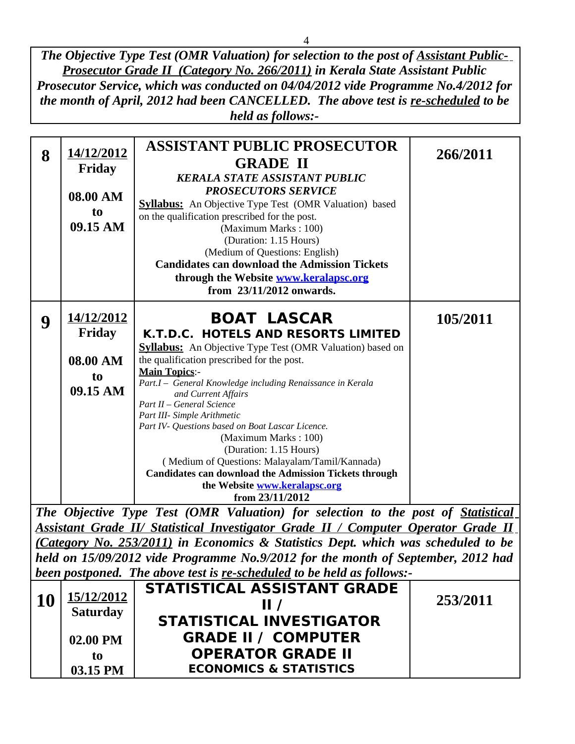*The Objective Type Test (OMR Valuation) for selection to the post of Assistant Public-Prosecutor Grade II (Category No. 266/2011) in Kerala State Assistant Public Prosecutor Service, which was conducted on 04/04/2012 vide Programme No.4/2012 for the month of April, 2012 had been CANCELLED. The above test is re-scheduled to be held as follows:-*

|                                                                        | 14/12/2012      | <b>ASSISTANT PUBLIC PROSECUTOR</b>                                                        | 266/2011 |  |
|------------------------------------------------------------------------|-----------------|-------------------------------------------------------------------------------------------|----------|--|
| 8                                                                      |                 | <b>GRADE II</b>                                                                           |          |  |
|                                                                        | <b>Friday</b>   | <b>KERALA STATE ASSISTANT PUBLIC</b>                                                      |          |  |
|                                                                        |                 | <b>PROSECUTORS SERVICE</b>                                                                |          |  |
|                                                                        | 08.00 AM        | <b>Syllabus:</b> An Objective Type Test (OMR Valuation) based                             |          |  |
|                                                                        | t <sub>o</sub>  | on the qualification prescribed for the post.                                             |          |  |
|                                                                        | 09.15 AM        | (Maximum Marks: 100)                                                                      |          |  |
|                                                                        |                 | (Duration: 1.15 Hours)                                                                    |          |  |
|                                                                        |                 | (Medium of Questions: English)                                                            |          |  |
|                                                                        |                 | <b>Candidates can download the Admission Tickets</b>                                      |          |  |
|                                                                        |                 | through the Website www.keralapsc.org                                                     |          |  |
|                                                                        |                 | from 23/11/2012 onwards.                                                                  |          |  |
|                                                                        |                 |                                                                                           |          |  |
|                                                                        | 14/12/2012      | <b>BOAT LASCAR</b>                                                                        | 105/2011 |  |
| 9                                                                      | <b>Friday</b>   | K.T.D.C. HOTELS AND RESORTS LIMITED                                                       |          |  |
|                                                                        |                 |                                                                                           |          |  |
|                                                                        |                 | <b>Syllabus:</b> An Objective Type Test (OMR Valuation) based on                          |          |  |
|                                                                        | 08.00 AM        | the qualification prescribed for the post.<br><b>Main Topics:-</b>                        |          |  |
|                                                                        | t <sub>0</sub>  | Part.I - General Knowledge including Renaissance in Kerala                                |          |  |
|                                                                        | 09.15 AM        | and Current Affairs                                                                       |          |  |
|                                                                        |                 | Part II - General Science                                                                 |          |  |
|                                                                        |                 | Part III- Simple Arithmetic                                                               |          |  |
|                                                                        |                 | Part IV- Questions based on Boat Lascar Licence.                                          |          |  |
|                                                                        |                 | (Maximum Marks: 100)                                                                      |          |  |
|                                                                        |                 | (Duration: 1.15 Hours)                                                                    |          |  |
|                                                                        |                 | (Medium of Questions: Malayalam/Tamil/Kannada)                                            |          |  |
|                                                                        |                 | <b>Candidates can download the Admission Tickets through</b>                              |          |  |
|                                                                        |                 | the Website www.keralapsc.org<br>from 23/11/2012                                          |          |  |
|                                                                        |                 |                                                                                           |          |  |
|                                                                        |                 | The Objective Type Test (OMR Valuation) for selection to the post of Statistical          |          |  |
|                                                                        |                 | <b>Assistant Grade II/ Statistical Investigator Grade II / Computer Operator Grade II</b> |          |  |
|                                                                        |                 | (Category No. 253/2011) in Economics & Statistics Dept. which was scheduled to be         |          |  |
|                                                                        |                 | held on 15/09/2012 vide Programme No.9/2012 for the month of September, 2012 had          |          |  |
| been postponed. The above test is re-scheduled to be held as follows:- |                 |                                                                                           |          |  |
|                                                                        |                 | <b>STATISTICAL ASSISTANT GRADE</b>                                                        |          |  |
| <b>10</b>                                                              | 15/12/2012      | $\mathbf{II}$ /                                                                           | 253/2011 |  |
|                                                                        | <b>Saturday</b> | <b>STATISTICAL INVESTIGATOR</b>                                                           |          |  |
|                                                                        |                 |                                                                                           |          |  |
|                                                                        | 02.00 PM        | <b>GRADE II / COMPUTER</b>                                                                |          |  |
|                                                                        | to              | <b>OPERATOR GRADE II</b>                                                                  |          |  |
|                                                                        | 03.15 PM        | <b>ECONOMICS &amp; STATISTICS</b>                                                         |          |  |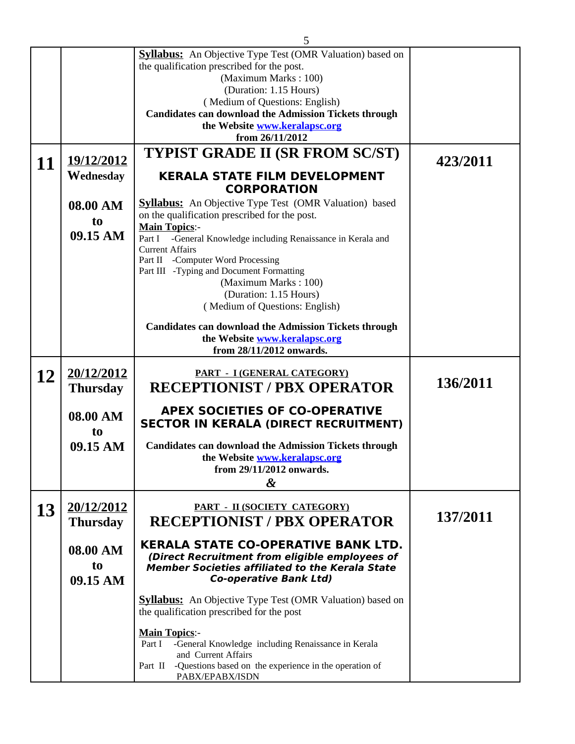|    |                                        | 5                                                                                                                                                                                                                                                                                                                                                                                                                               |          |
|----|----------------------------------------|---------------------------------------------------------------------------------------------------------------------------------------------------------------------------------------------------------------------------------------------------------------------------------------------------------------------------------------------------------------------------------------------------------------------------------|----------|
|    |                                        | <b>Syllabus:</b> An Objective Type Test (OMR Valuation) based on<br>the qualification prescribed for the post.<br>(Maximum Marks: 100)<br>(Duration: 1.15 Hours)<br>(Medium of Questions: English)<br><b>Candidates can download the Admission Tickets through</b><br>the Website www.keralapsc.org<br>from 26/11/2012                                                                                                          |          |
|    | 19/12/2012                             | <b>TYPIST GRADE II (SR FROM SC/ST)</b>                                                                                                                                                                                                                                                                                                                                                                                          | 423/2011 |
| 11 | Wednesday                              | <b>KERALA STATE FILM DEVELOPMENT</b>                                                                                                                                                                                                                                                                                                                                                                                            |          |
|    | 08.00 AM<br>to<br>09.15 AM             | <b>CORPORATION</b><br><b>Syllabus:</b> An Objective Type Test (OMR Valuation) based<br>on the qualification prescribed for the post.<br><b>Main Topics:-</b><br>-General Knowledge including Renaissance in Kerala and<br>Part I<br><b>Current Affairs</b><br>Part II -Computer Word Processing<br>Part III -Typing and Document Formatting<br>(Maximum Marks: 100)<br>(Duration: 1.15 Hours)<br>(Medium of Questions: English) |          |
|    |                                        | <b>Candidates can download the Admission Tickets through</b><br>the Website www.keralapsc.org<br>from 28/11/2012 onwards.                                                                                                                                                                                                                                                                                                       |          |
| 12 | 20/12/2012<br><b>Thursday</b>          | <b>PART - I (GENERAL CATEGORY)</b><br><b>RECEPTIONIST / PBX OPERATOR</b>                                                                                                                                                                                                                                                                                                                                                        | 136/2011 |
|    | 08.00 AM<br>to<br>09.15 AM             | <b>APEX SOCIETIES OF CO-OPERATIVE</b><br><b>SECTOR IN KERALA (DIRECT RECRUITMENT)</b><br><b>Candidates can download the Admission Tickets through</b><br>the Website www.keralapsc.org<br>from 29/11/2012 onwards.<br>&                                                                                                                                                                                                         |          |
| 13 | 20/12/2012<br><b>Thursday</b>          | <b>PART - II (SOCIETY CATEGORY)</b><br><b>RECEPTIONIST / PBX OPERATOR</b>                                                                                                                                                                                                                                                                                                                                                       | 137/2011 |
|    | 08.00 AM<br>t <sub>0</sub><br>09.15 AM | <b>KERALA STATE CO-OPERATIVE BANK LTD.</b><br>(Direct Recruitment from eligible employees of<br><b>Member Societies affiliated to the Kerala State</b><br><b>Co-operative Bank Ltd)</b>                                                                                                                                                                                                                                         |          |
|    |                                        | <b>Syllabus:</b> An Objective Type Test (OMR Valuation) based on<br>the qualification prescribed for the post                                                                                                                                                                                                                                                                                                                   |          |
|    |                                        | <b>Main Topics:-</b><br>-General Knowledge including Renaissance in Kerala<br>Part I<br>and Current Affairs<br>-Questions based on the experience in the operation of<br>Part II<br>PABX/EPABX/ISDN                                                                                                                                                                                                                             |          |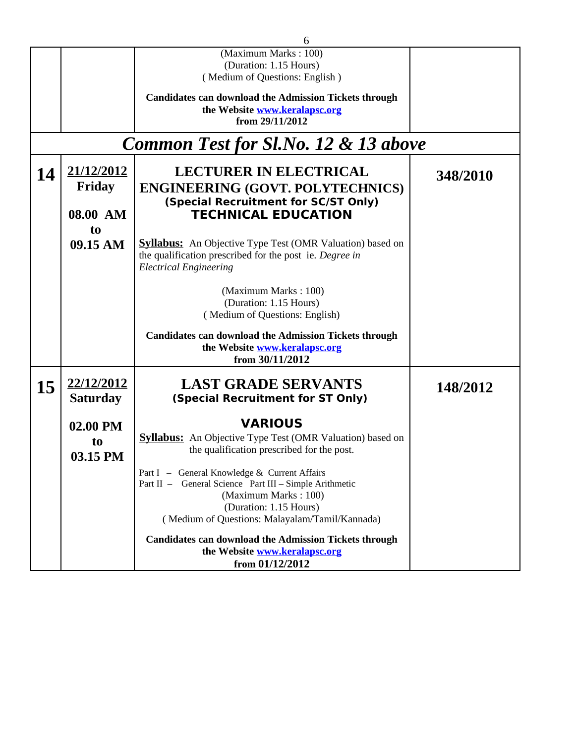|    | 6               |                                                                  |          |  |  |
|----|-----------------|------------------------------------------------------------------|----------|--|--|
|    |                 | (Maximum Marks: 100)                                             |          |  |  |
|    |                 | (Duration: 1.15 Hours)                                           |          |  |  |
|    |                 | (Medium of Questions: English)                                   |          |  |  |
|    |                 | <b>Candidates can download the Admission Tickets through</b>     |          |  |  |
|    |                 | the Website www.keralapsc.org                                    |          |  |  |
|    |                 | from 29/11/2012                                                  |          |  |  |
|    |                 | <b>Common Test for Sl.No. 12 &amp; 13 above</b>                  |          |  |  |
| 14 | 21/12/2012      | <b>LECTURER IN ELECTRICAL</b>                                    | 348/2010 |  |  |
|    | <b>Friday</b>   | <b>ENGINEERING (GOVT. POLYTECHNICS)</b>                          |          |  |  |
|    |                 | (Special Recruitment for SC/ST Only)                             |          |  |  |
|    | 08.00 AM        | <b>TECHNICAL EDUCATION</b>                                       |          |  |  |
|    | t <sub>0</sub>  |                                                                  |          |  |  |
|    | 09.15 AM        | <b>Syllabus:</b> An Objective Type Test (OMR Valuation) based on |          |  |  |
|    |                 | the qualification prescribed for the post ie. Degree in          |          |  |  |
|    |                 | <b>Electrical Engineering</b>                                    |          |  |  |
|    |                 |                                                                  |          |  |  |
|    |                 | (Maximum Marks: 100)                                             |          |  |  |
|    |                 | (Duration: 1.15 Hours)                                           |          |  |  |
|    |                 | (Medium of Questions: English)                                   |          |  |  |
|    |                 | <b>Candidates can download the Admission Tickets through</b>     |          |  |  |
|    |                 | the Website www.keralapsc.org                                    |          |  |  |
|    |                 | from 30/11/2012                                                  |          |  |  |
|    | 22/12/2012      | <b>LAST GRADE SERVANTS</b>                                       |          |  |  |
| 15 |                 |                                                                  | 148/2012 |  |  |
|    | <b>Saturday</b> | (Special Recruitment for ST Only)                                |          |  |  |
|    | 02.00 PM        | <b>VARIOUS</b>                                                   |          |  |  |
|    |                 | <b>Syllabus:</b> An Objective Type Test (OMR Valuation) based on |          |  |  |
|    | to              | the qualification prescribed for the post.                       |          |  |  |
|    | 03.15 PM        |                                                                  |          |  |  |
|    |                 | Part I - General Knowledge & Current Affairs                     |          |  |  |
|    |                 | Part II - General Science Part III - Simple Arithmetic           |          |  |  |
|    |                 | (Maximum Marks: 100)<br>(Duration: 1.15 Hours)                   |          |  |  |
|    |                 | (Medium of Questions: Malayalam/Tamil/Kannada)                   |          |  |  |
|    |                 |                                                                  |          |  |  |
|    |                 | <b>Candidates can download the Admission Tickets through</b>     |          |  |  |
|    |                 | the Website www.keralapsc.org                                    |          |  |  |
|    |                 | from 01/12/2012                                                  |          |  |  |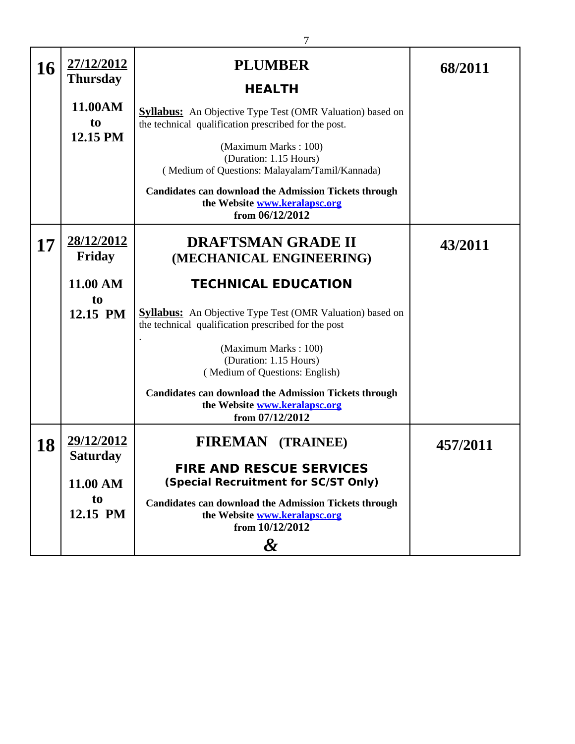| 16 | 27/12/2012<br><b>Thursday</b> | <b>PLUMBER</b>                                                                                                          | 68/2011  |
|----|-------------------------------|-------------------------------------------------------------------------------------------------------------------------|----------|
|    |                               | <b>HEALTH</b>                                                                                                           |          |
|    | 11.00AM                       | <b>Syllabus:</b> An Objective Type Test (OMR Valuation) based on                                                        |          |
|    | t <sub>0</sub>                | the technical qualification prescribed for the post.                                                                    |          |
|    | 12.15 PM                      | (Maximum Marks: 100)                                                                                                    |          |
|    |                               | (Duration: 1.15 Hours)                                                                                                  |          |
|    |                               | (Medium of Questions: Malayalam/Tamil/Kannada)                                                                          |          |
|    |                               | <b>Candidates can download the Admission Tickets through</b><br>the Website www.keralapsc.org<br>from 06/12/2012        |          |
| 17 | 28/12/2012<br><b>Friday</b>   | <b>DRAFTSMAN GRADE II</b><br>(MECHANICAL ENGINEERING)                                                                   | 43/2011  |
|    | 11.00 AM                      | <b>TECHNICAL EDUCATION</b>                                                                                              |          |
|    | to                            |                                                                                                                         |          |
|    | 12.15 PM                      | <b>Syllabus:</b> An Objective Type Test (OMR Valuation) based on<br>the technical qualification prescribed for the post |          |
|    |                               | (Maximum Marks: 100)                                                                                                    |          |
|    |                               | (Duration: 1.15 Hours)                                                                                                  |          |
|    |                               | (Medium of Questions: English)                                                                                          |          |
|    |                               | <b>Candidates can download the Admission Tickets through</b><br>the Website www.keralapsc.org<br>from 07/12/2012        |          |
|    | 29/12/2012                    |                                                                                                                         |          |
| 18 | <b>Saturday</b>               | <b>FIREMAN (TRAINEE)</b>                                                                                                | 457/2011 |
|    | 11.00 AM                      | <b>FIRE AND RESCUE SERVICES</b><br>(Special Recruitment for SC/ST Only)                                                 |          |
|    | t <sub>o</sub>                | <b>Candidates can download the Admission Tickets through</b>                                                            |          |
|    | 12.15 PM                      | the Website www.keralapsc.org<br>from 10/12/2012                                                                        |          |
|    |                               | $\boldsymbol{\mathcal{X}}$                                                                                              |          |
|    |                               |                                                                                                                         |          |